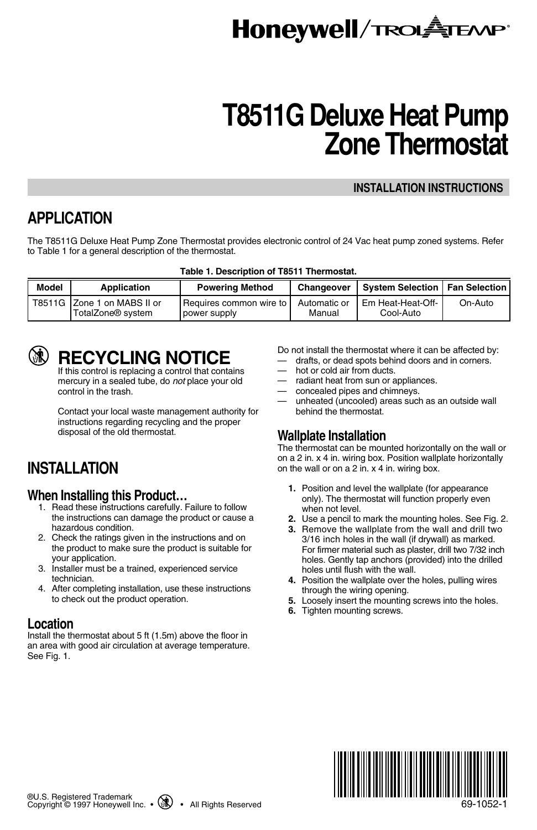# **Honeywell/TROLATEANP**

# **T8511G Deluxe Heat Pump Zone Thermostat**

#### **INSTALLATION INSTRUCTIONS**

## **APPLICATION**

The T8511G Deluxe Heat Pump Zone Thermostat provides electronic control of 24 Vac heat pump zoned systems. Refer to Table 1 for a general description of the thermostat.

|  |  |  | Table 1. Description of T8511 Thermostat. |
|--|--|--|-------------------------------------------|
|--|--|--|-------------------------------------------|

| Model | Application                                                  | <b>Powering Method</b>                             | Changeover             | System Selection   Fan Selection |         |
|-------|--------------------------------------------------------------|----------------------------------------------------|------------------------|----------------------------------|---------|
|       | T8511G Zone 1 on MABS II or<br>TotalZone <sup>®</sup> system | <b>I Requires common wire to i</b><br>power supply | Automatic or<br>Manual | I Em Heat-Heat-Off-<br>Cool-Auto | On-Auto |

## **RECYCLING NOTICE**

If this control is replacing a control that contains mercury in a sealed tube, do not place your old control in the trash.

Contact your local waste management authority for instructions regarding recycling and the proper disposal of the old thermostat.

## **INSTALLATION**

### **When Installing this Product…**

- 1. Read these instructions carefully. Failure to follow the instructions can damage the product or cause a hazardous condition.
- 2. Check the ratings given in the instructions and on the product to make sure the product is suitable for your application.
- 3. Installer must be a trained, experienced service technician.
- 4. After completing installation, use these instructions to check out the product operation.

#### **Location**

Install the thermostat about 5 ft (1.5m) above the floor in an area with good air circulation at average temperature. See Fig. 1.

Do not install the thermostat where it can be affected by:

- drafts, or dead spots behind doors and in corners.
- hot or cold air from ducts.
- radiant heat from sun or appliances.
- concealed pipes and chimneys.
- unheated (uncooled) areas such as an outside wall behind the thermostat.

### **Wallplate Installation**

The thermostat can be mounted horizontally on the wall or on a 2 in. x 4 in. wiring box. Position wallplate horizontally on the wall or on a 2 in. x 4 in. wiring box.

- **1.** Position and level the wallplate (for appearance only). The thermostat will function properly even when not level.
- **2.** Use a pencil to mark the mounting holes. See Fig. 2.
- **3.** Remove the wallplate from the wall and drill two 3/16 inch holes in the wall (if drywall) as marked. For firmer material such as plaster, drill two 7/32 inch holes. Gently tap anchors (provided) into the drilled holes until flush with the wall.
- **4.** Position the wallplate over the holes, pulling wires through the wiring opening.
- **5.** Loosely insert the mounting screws into the holes.
- **6.** Tighten mounting screws.



69-1052-1

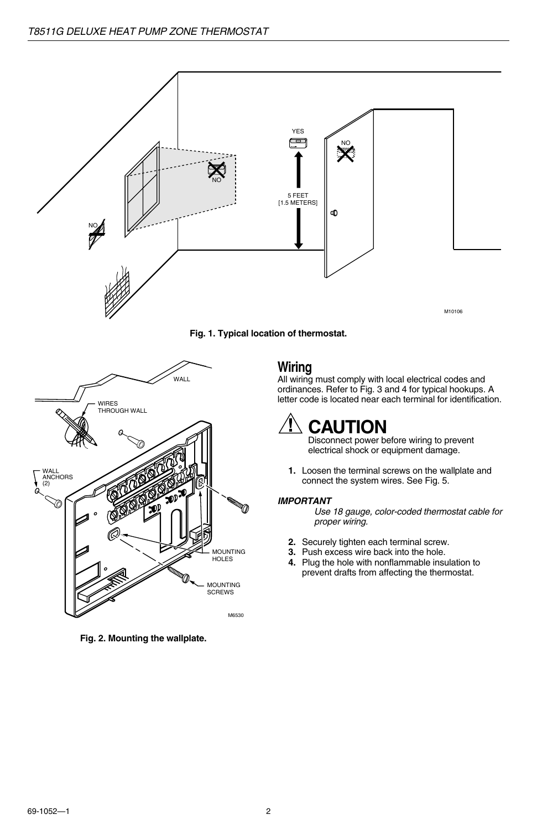



**Fig. 2. Mounting the wallplate.**

## **Wiring**

All wiring must comply with local electrical codes and ordinances. Refer to Fig. 3 and 4 for typical hookups. A letter code is located near each terminal for identification.

## **CAUTION**

Disconnect power before wiring to prevent electrical shock or equipment damage.

**1.** Loosen the terminal screws on the wallplate and connect the system wires. See Fig. 5.

#### **IMPORTANT**

Use 18 gauge, color-coded thermostat cable for proper wiring.

- **2.** Securely tighten each terminal screw.
- **3.** Push excess wire back into the hole.
- **4.** Plug the hole with nonflammable insulation to prevent drafts from affecting the thermostat.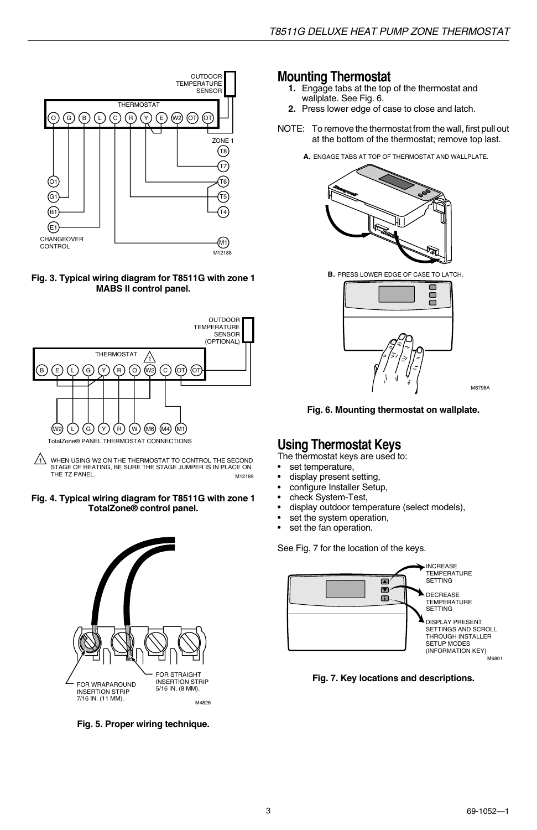

#### **Fig. 3. Typical wiring diagram for T8511G with zone 1 MABS II control panel.**



M12189  $1/1$  WHEN USING W2 ON THE THERMOSTAT TO CONTROL THE SECOND STAGE OF HEATING, BE SURE THE STAGE JUMPER IS IN PLACE ON THE TZ PANEL.

#### **Fig. 4. Typical wiring diagram for T8511G with zone 1 TotalZone® control panel.**



**Fig. 5. Proper wiring technique.**

### **Mounting Thermostat**

- **1.** Engage tabs at the top of the thermostat and wallplate. See Fig. 6.
- **2.** Press lower edge of case to close and latch.
- NOTE: To remove the thermostat from the wall, first pull out at the bottom of the thermostat; remove top last.
	- **A.** ENGAGE TABS AT TOP OF THERMOSTAT AND WALLPLATE.



**B.** PRESS LOWER EDGE OF CASE TO LATCH.



M6798A

**Fig. 6. Mounting thermostat on wallplate.**

## **Using Thermostat Keys**

The thermostat keys are used to:<br>• set temperature

- set temperature,
- display present setting,
- configure Installer Setup.
- check System-Test,
- display outdoor temperature (select models),
- set the system operation,<br>• set the fan operation
- set the fan operation.

See Fig. 7 for the location of the keys.



**Fig. 7. Key locations and descriptions.**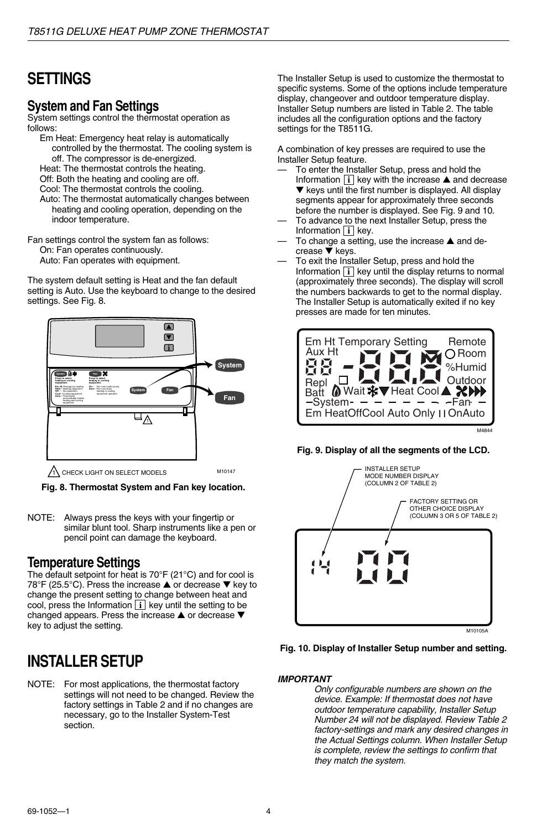## **SETTINGS**

#### **System and Fan Settings**

System settings control the thermostat operation as follows:

Em Heat: Emergency heat relay is automatically controlled by the thermostat. The cooling system is off. The compressor is de-energized.

Heat: The thermostat controls the heating.

Off: Both the heating and cooling are off. Cool: The thermostat controls the cooling.

Auto: The thermostat automatically changes between heating and cooling operation, depending on the indoor temperature.

Fan settings control the system fan as follows: On: Fan operates continuously. Auto: Fan operates with equipment.

The system default setting is Heat and the fan default setting is Auto. Use the keyboard to change to the desired settings. See Fig. 8.



**Fig. 8. Thermostat System and Fan key location.**

NOTE: Always press the keys with your fingertip or similar blunt tool. Sharp instruments like a pen or pencil point can damage the keyboard.

### **Temperature Settings**

The default setpoint for heat is 70°F (21°C) and for cool is 78°F (25.5°C). Press the increase ▲ or decrease ▼ key to change the present setting to change between heat and cool, press the Information  $\mathbf{i} \times \mathbf{k}$  key until the setting to be changed appears. Press the increase ▲ or decrease ▼ key to adjust the setting.

## **INSTALLER SETUP**

NOTE: For most applications, the thermostat factory settings will not need to be changed. Review the factory settings in Table 2 and if no changes are necessary, go to the Installer System-Test section.

The Installer Setup is used to customize the thermostat to specific systems. Some of the options include temperature display, changeover and outdoor temperature display. Installer Setup numbers are listed in Table 2. The table includes all the configuration options and the factory settings for the T8511G.

A combination of key presses are required to use the Installer Setup feature.

- To enter the Installer Setup, press and hold the Information  $\overline{\mathbf{i}}$  key with the increase  $\blacktriangle$  and decrease ▼ keys until the first number is displayed. All display segments appear for approximately three seconds before the number is displayed. See Fig. 9 and 10.
- To advance to the next Installer Setup, press the Information  $\boxed{\mathbf{i}}$  key.
- To change a setting, use the increase ▲ and decrease ▼ keys.
- To exit the Installer Setup, press and hold the Information **i** key until the display returns to normal (approximately three seconds). The display will scroll the numbers backwards to get to the normal display. The Installer Setup is automatically exited if no key presses are made for ten minutes.



**Fig. 9. Display of all the segments of the LCD.**





#### **IMPORTANT**

Only configurable numbers are shown on the device. Example: If thermostat does not have outdoor temperature capability, Installer Setup Number 24 will not be displayed. Review Table 2 factory-settings and mark any desired changes in the Actual Settings column. When Installer Setup is complete, review the settings to confirm that they match the system.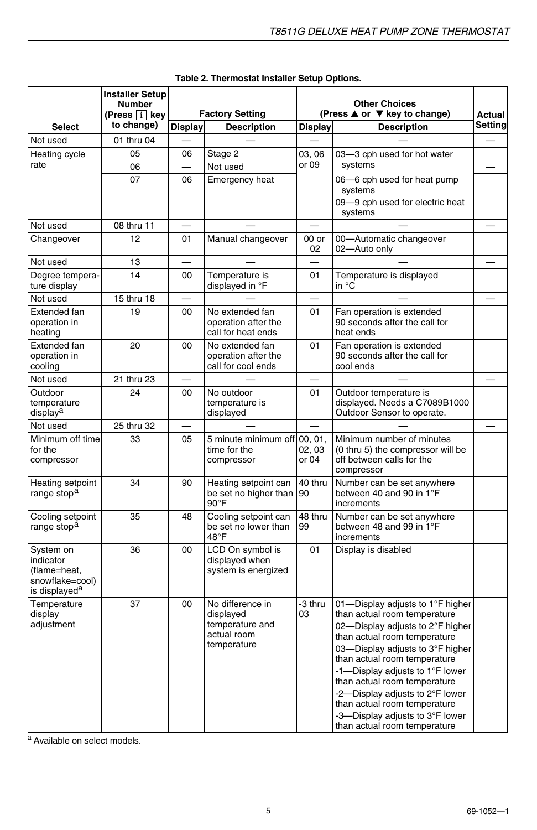|                                                                                        | Installer Setup<br><b>Number</b><br>(Press $\overline{i}$ key | <b>Factory Setting</b> |                                                                                | <b>Other Choices</b><br>(Press ▲ or ▼ key to change) |                                                                                                                                                                                                                                                                                                                                                                                                                   | Actual   |
|----------------------------------------------------------------------------------------|---------------------------------------------------------------|------------------------|--------------------------------------------------------------------------------|------------------------------------------------------|-------------------------------------------------------------------------------------------------------------------------------------------------------------------------------------------------------------------------------------------------------------------------------------------------------------------------------------------------------------------------------------------------------------------|----------|
| <b>Select</b>                                                                          | to change)                                                    | <b>Display</b>         | <b>Description</b>                                                             | Display                                              | <b>Description</b>                                                                                                                                                                                                                                                                                                                                                                                                | Setting  |
| Not used                                                                               | 01 thru 04                                                    |                        |                                                                                |                                                      |                                                                                                                                                                                                                                                                                                                                                                                                                   |          |
| Heating cycle                                                                          | 05                                                            | 06                     | Stage 2                                                                        | 03.06                                                | 03-3 cph used for hot water                                                                                                                                                                                                                                                                                                                                                                                       |          |
| rate                                                                                   | 06                                                            | $\equiv$               | Not used                                                                       | or 09                                                | systems                                                                                                                                                                                                                                                                                                                                                                                                           | $\equiv$ |
|                                                                                        | 07                                                            | 06                     | Emergency heat                                                                 |                                                      | 06-6 cph used for heat pump<br>systems                                                                                                                                                                                                                                                                                                                                                                            |          |
|                                                                                        |                                                               |                        |                                                                                |                                                      | 09-9 cph used for electric heat<br>systems                                                                                                                                                                                                                                                                                                                                                                        |          |
| Not used                                                                               | 08 thru 11                                                    |                        |                                                                                |                                                      |                                                                                                                                                                                                                                                                                                                                                                                                                   |          |
| Changeover                                                                             | 12                                                            | 01                     | Manual changeover                                                              | 00 or<br>02                                          | 00-Automatic changeover<br>02-Auto only                                                                                                                                                                                                                                                                                                                                                                           |          |
| Not used                                                                               | 13                                                            |                        |                                                                                | $\overline{\phantom{0}}$                             |                                                                                                                                                                                                                                                                                                                                                                                                                   |          |
| Degree tempera-<br>ture display                                                        | 14                                                            | 00                     | Temperature is<br>displayed in °F                                              | 01                                                   | Temperature is displayed<br>in °C                                                                                                                                                                                                                                                                                                                                                                                 |          |
| Not used                                                                               | 15 thru 18                                                    |                        |                                                                                |                                                      |                                                                                                                                                                                                                                                                                                                                                                                                                   |          |
| Extended fan<br>operation in<br>heating                                                | 19                                                            | 00                     | No extended fan<br>operation after the<br>call for heat ends                   | 01                                                   | Fan operation is extended<br>90 seconds after the call for<br>heat ends                                                                                                                                                                                                                                                                                                                                           |          |
| Extended fan<br>operation in<br>cooling                                                | 20                                                            | 00                     | No extended fan<br>operation after the<br>call for cool ends                   | 01                                                   | Fan operation is extended<br>90 seconds after the call for<br>cool ends                                                                                                                                                                                                                                                                                                                                           |          |
| Not used                                                                               | 21 thru 23                                                    |                        |                                                                                |                                                      |                                                                                                                                                                                                                                                                                                                                                                                                                   |          |
| Outdoor<br>temperature<br>display <sup>a</sup>                                         | 24                                                            | 00                     | No outdoor<br>temperature is<br>displayed                                      | 01                                                   | Outdoor temperature is<br>displayed. Needs a C7089B1000<br>Outdoor Sensor to operate.                                                                                                                                                                                                                                                                                                                             |          |
| Not used                                                                               | 25 thru 32                                                    |                        |                                                                                |                                                      |                                                                                                                                                                                                                                                                                                                                                                                                                   |          |
| Minimum off time<br>for the<br>compressor                                              | 33                                                            | 05                     | 5 minute minimum off 00, 01,<br>time for the<br>compressor                     | 02, 03<br>or 04                                      | Minimum number of minutes<br>(0 thru 5) the compressor will be<br>off between calls for the<br>compressor                                                                                                                                                                                                                                                                                                         |          |
| Heating setpoint<br>range stop <sup>a</sup>                                            | 34                                                            | 90                     | Heating setpoint can<br>be set no higher than  90<br>$90^{\circ}$ F            | 40 thru                                              | Number can be set anywhere<br>between 40 and 90 in 1°F<br>increments                                                                                                                                                                                                                                                                                                                                              |          |
| Cooling setpoint<br>range stop <sup>a</sup>                                            | 35                                                            | 48                     | Cooling setpoint can<br>be set no lower than<br>48°F                           | 48 thru<br>99                                        | Number can be set anywhere<br>between 48 and 99 in 1°F<br>increments                                                                                                                                                                                                                                                                                                                                              |          |
| System on<br>indicator<br>(flame=heat,<br>snowflake=cool)<br>is displayed <sup>a</sup> | 36                                                            | 00                     | LCD On symbol is<br>displayed when<br>system is energized                      | 01                                                   | Display is disabled                                                                                                                                                                                                                                                                                                                                                                                               |          |
| Temperature<br>display<br>adjustment                                                   | 37                                                            | 00                     | No difference in<br>displayed<br>temperature and<br>actual room<br>temperature | -3 thru<br>03                                        | 01-Display adjusts to 1°F higher<br>than actual room temperature<br>02-Display adjusts to 2°F higher<br>than actual room temperature<br>03-Display adjusts to 3°F higher<br>than actual room temperature<br>-1-Display adjusts to 1°F lower<br>than actual room temperature<br>-2-Display adjusts to 2°F lower<br>than actual room temperature<br>-3-Display adjusts to 3°F lower<br>than actual room temperature |          |

| Table 2. Thermostat Installer Setup Options. |  |
|----------------------------------------------|--|
|                                              |  |

a Available on select models.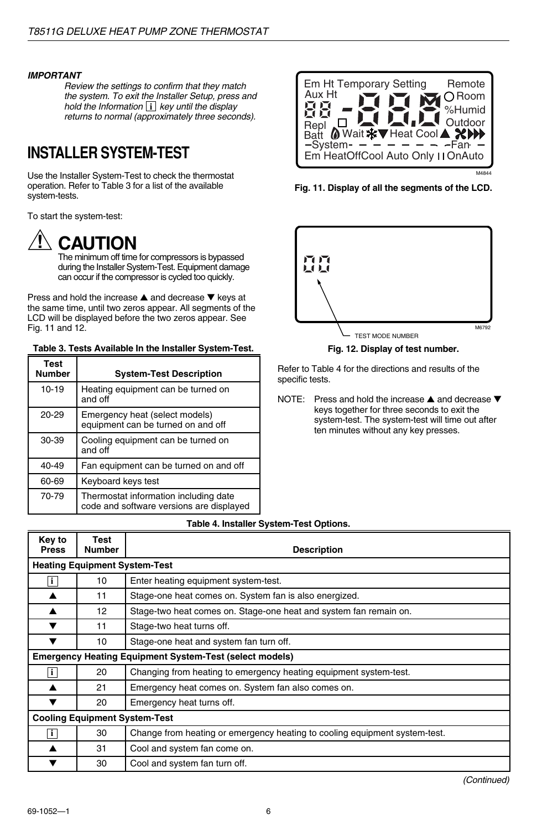#### **IMPORTANT**

Review the settings to confirm that they match the system. To exit the Installer Setup, press and hold the Information  $\overline{\mathbf{i}}$  key until the display returns to normal (approximately three seconds).

## **INSTALLER SYSTEM-TEST**

Use the Installer System-Test to check the thermostat operation. Refer to Table 3 for a list of the available system-tests.

To start the system-test:

**CAUTION**

The minimum off time for compressors is bypassed during the Installer System-Test. Equipment damage can occur if the compressor is cycled too quickly.

Press and hold the increase ▲ and decrease ▼ keys at the same time, until two zeros appear. All segments of the LCD will be displayed before the two zeros appear. See Fig. 11 and 12.

#### **Table 3. Tests Available In the Installer System-Test.**

| Test<br><b>Number</b> | <b>System-Test Description</b>                                                    |
|-----------------------|-----------------------------------------------------------------------------------|
| $10-19$               | Heating equipment can be turned on<br>and off                                     |
| $20 - 29$             | Emergency heat (select models)<br>equipment can be turned on and off              |
| 30-39                 | Cooling equipment can be turned on<br>and off                                     |
| 40-49                 | Fan equipment can be turned on and off                                            |
| 60-69                 | Keyboard keys test                                                                |
| 70-79                 | Thermostat information including date<br>code and software versions are displayed |



**Fig. 11. Display of all the segments of the LCD.**



**Fig. 12. Display of test number.**

Refer to Table 4 for the directions and results of the specific tests.

NOTE: Press and hold the increase ▲ and decrease ▼ keys together for three seconds to exit the system-test. The system-test will time out after ten minutes without any key presses.

#### **Key to Press Test Number Description Heating Equipment System-Test i** 10 Enter heating equipment system-test. ▲ 11 Stage-one heat comes on. System fan is also energized. ▲ | 12 | Stage-two heat comes on. Stage-one heat and system fan remain on. ▼ 11 Stage-two heat turns off. 10 Stage-one heat and system fan turn off. **Emergency Heating Equipment System-Test (select models) i** 20 Changing from heating to emergency heating equipment system-test. ▲ 21 Emergency heat comes on. System fan also comes on. ▼ 20 Emergency heat turns off. **Cooling Equipment System-Test i** 1 30 Change from heating or emergency heating to cooling equipment system-test. ▲ 31 Cool and system fan come on. 30 Cool and system fan turn off.

#### **Table 4. Installer System-Test Options.**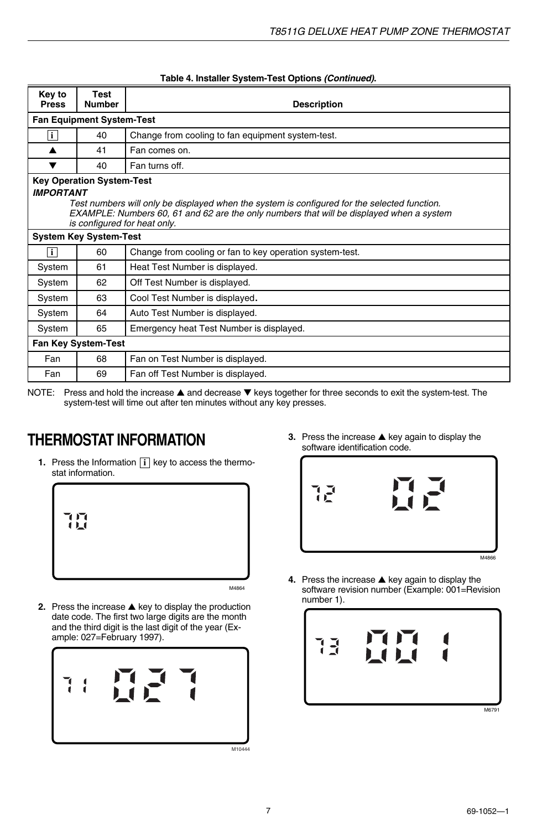| Key to<br><b>Press</b>     | Test<br><b>Number</b>                                                                                                                                                                                                                                                            | <b>Description</b>                                       |  |  |  |
|----------------------------|----------------------------------------------------------------------------------------------------------------------------------------------------------------------------------------------------------------------------------------------------------------------------------|----------------------------------------------------------|--|--|--|
|                            | <b>Fan Equipment System-Test</b>                                                                                                                                                                                                                                                 |                                                          |  |  |  |
| i                          | 40                                                                                                                                                                                                                                                                               | Change from cooling to fan equipment system-test.        |  |  |  |
| ▲                          | 41                                                                                                                                                                                                                                                                               | Fan comes on.                                            |  |  |  |
| ▼                          | 40                                                                                                                                                                                                                                                                               | Fan turns off.                                           |  |  |  |
|                            | <b>Key Operation System-Test</b><br><b>IMPORTANT</b><br>Test numbers will only be displayed when the system is configured for the selected function.<br>EXAMPLE: Numbers 60, 61 and 62 are the only numbers that will be displayed when a system<br>is configured for heat only. |                                                          |  |  |  |
|                            | <b>System Key System-Test</b>                                                                                                                                                                                                                                                    |                                                          |  |  |  |
| $\mathbf{i}$               | 60                                                                                                                                                                                                                                                                               | Change from cooling or fan to key operation system-test. |  |  |  |
| System                     | 61                                                                                                                                                                                                                                                                               | Heat Test Number is displayed.                           |  |  |  |
| System                     | 62                                                                                                                                                                                                                                                                               | Off Test Number is displayed.                            |  |  |  |
| System                     | 63                                                                                                                                                                                                                                                                               | Cool Test Number is displayed.                           |  |  |  |
| System                     | 64                                                                                                                                                                                                                                                                               | Auto Test Number is displayed.                           |  |  |  |
| System                     | 65                                                                                                                                                                                                                                                                               | Emergency heat Test Number is displayed.                 |  |  |  |
| <b>Fan Key System-Test</b> |                                                                                                                                                                                                                                                                                  |                                                          |  |  |  |
| Fan                        | 68                                                                                                                                                                                                                                                                               | Fan on Test Number is displayed.                         |  |  |  |
| Fan                        | 69                                                                                                                                                                                                                                                                               | Fan off Test Number is displayed.                        |  |  |  |

#### **Table 4. Installer System-Test Options (Continued).**

NOTE: Press and hold the increase ▲ and decrease ▼ keys together for three seconds to exit the system-test. The system-test will time out after ten minutes without any key presses.

## software identification code. **THERMOSTAT INFORMATION**

**1.** Press the Information **i** key to access the thermostat information.



**2.** Press the increase ▲ key to display the production date code. The first two large digits are the month and the third digit is the last digit of the year (Example: 027=February 1997).



**3.** Press the increase ▲ key again to display the software identification code.



**4.** Press the increase ▲ key again to display the software revision number (Example: 001=Revision number 1).

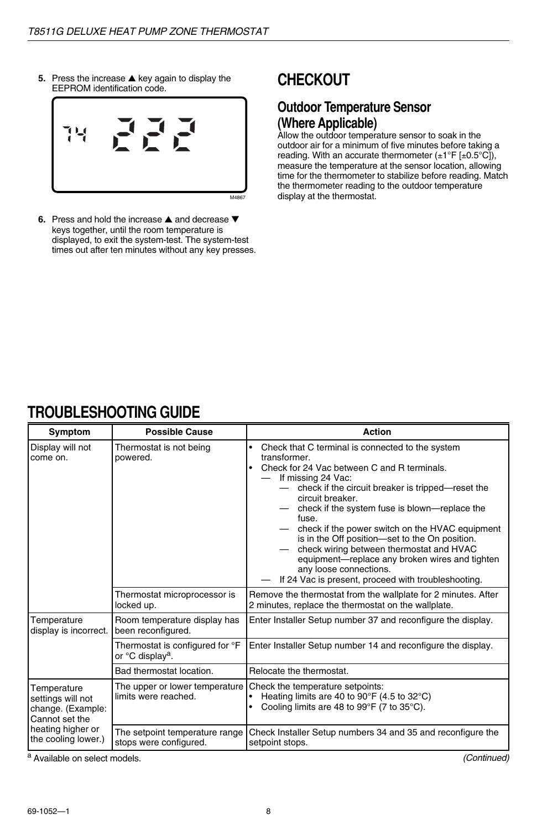**5.** Press the increase ▲ key again to display the EEPROM identification code.



**6.** Press and hold the increase ▲ and decrease ▼ keys together, until the room temperature is displayed, to exit the system-test. The system-test times out after ten minutes without any key presses.

## **CHECKOUT**

### **Outdoor Temperature Sensor (Where Applicable)**

Allow the outdoor temperature sensor to soak in the outdoor air for a minimum of five minutes before taking a reading. With an accurate thermometer  $(\pm 1^{\circ}F [\pm 0.5^{\circ}C])$ , measure the temperature at the sensor location, allowing time for the thermometer to stabilize before reading. Match the thermometer reading to the outdoor temperature display at the thermostat.

## **TROUBLESHOOTING GUIDE**

| Symptom                                                                                                             | <b>Possible Cause</b>                                           | Action                                                                                                                                                                                                                                                                                                                                                                                                                                                                                                                                                                 |
|---------------------------------------------------------------------------------------------------------------------|-----------------------------------------------------------------|------------------------------------------------------------------------------------------------------------------------------------------------------------------------------------------------------------------------------------------------------------------------------------------------------------------------------------------------------------------------------------------------------------------------------------------------------------------------------------------------------------------------------------------------------------------------|
| Display will not<br>come on.                                                                                        | Thermostat is not being<br>powered.                             | Check that C terminal is connected to the system<br>٠<br>transformer.<br>Check for 24 Vac between C and R terminals.<br>٠<br>If missing 24 Vac:<br>check if the circuit breaker is tripped—reset the<br>circuit breaker.<br>check if the system fuse is blown-replace the<br>fuse.<br>check if the power switch on the HVAC equipment<br>is in the Off position-set to the On position.<br>check wiring between thermostat and HVAC<br>equipment-replace any broken wires and tighten<br>any loose connections.<br>If 24 Vac is present, proceed with troubleshooting. |
|                                                                                                                     | Thermostat microprocessor is<br>locked up.                      | Remove the thermostat from the wallplate for 2 minutes. After<br>2 minutes, replace the thermostat on the wallplate.                                                                                                                                                                                                                                                                                                                                                                                                                                                   |
| Temperature<br>display is incorrect.                                                                                | Room temperature display has<br>been reconfigured.              | Enter Installer Setup number 37 and reconfigure the display.                                                                                                                                                                                                                                                                                                                                                                                                                                                                                                           |
|                                                                                                                     | Thermostat is configured for °F<br>or °C display <sup>a</sup> . | Enter Installer Setup number 14 and reconfigure the display.                                                                                                                                                                                                                                                                                                                                                                                                                                                                                                           |
|                                                                                                                     | Bad thermostat location.                                        | Relocate the thermostat.                                                                                                                                                                                                                                                                                                                                                                                                                                                                                                                                               |
| Temperature<br>settings will not<br>change. (Example:<br>Cannot set the<br>heating higher or<br>the cooling lower.) | The upper or lower temperature I<br>limits were reached.        | Check the temperature setpoints:<br>Heating limits are 40 to 90°F (4.5 to 32°C)<br>Cooling limits are 48 to 99 $\degree$ F (7 to 35 $\degree$ C).<br>٠                                                                                                                                                                                                                                                                                                                                                                                                                 |
|                                                                                                                     | The setpoint temperature range<br>stops were configured.        | Check Installer Setup numbers 34 and 35 and reconfigure the<br>setpoint stops.                                                                                                                                                                                                                                                                                                                                                                                                                                                                                         |

a Available on select models.

(Continued)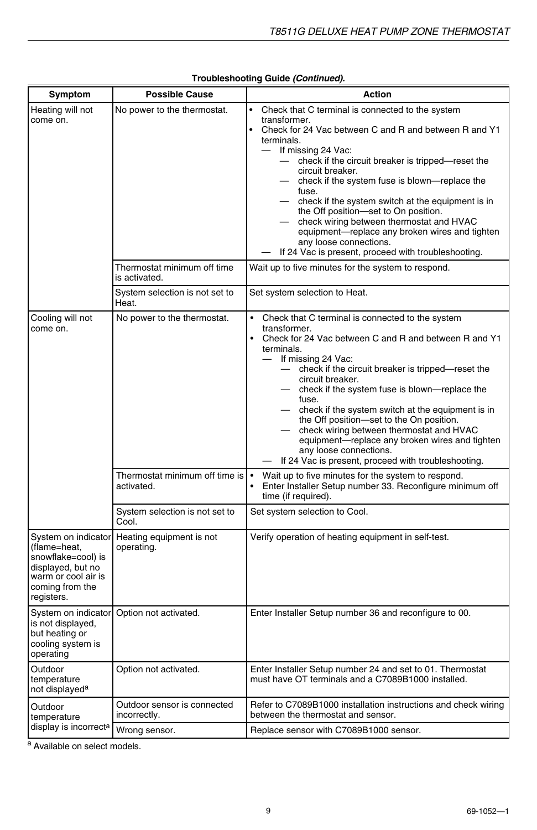| Symptom                                                                                                                                | <b>Possible Cause</b>                                      | <b>Action</b>                                                                                                                                                                                                                                                                                                                                                                                                                                                                                                                                                                                                                                                                   |
|----------------------------------------------------------------------------------------------------------------------------------------|------------------------------------------------------------|---------------------------------------------------------------------------------------------------------------------------------------------------------------------------------------------------------------------------------------------------------------------------------------------------------------------------------------------------------------------------------------------------------------------------------------------------------------------------------------------------------------------------------------------------------------------------------------------------------------------------------------------------------------------------------|
| Heating will not<br>come on.                                                                                                           | No power to the thermostat.<br>Thermostat minimum off time | Check that C terminal is connected to the system<br>transformer.<br>$\bullet$<br>Check for 24 Vac between C and R and between R and Y1<br>terminals.<br>If missing 24 Vac:<br>$\overline{\phantom{0}}$<br>- check if the circuit breaker is tripped-reset the<br>circuit breaker.<br>- check if the system fuse is blown-replace the<br>fuse.<br>check if the system switch at the equipment is in<br>the Off position-set to On position.<br>check wiring between thermostat and HVAC<br>equipment-replace any broken wires and tighten<br>any loose connections.<br>If 24 Vac is present, proceed with troubleshooting.<br>Wait up to five minutes for the system to respond. |
|                                                                                                                                        | is activated.                                              |                                                                                                                                                                                                                                                                                                                                                                                                                                                                                                                                                                                                                                                                                 |
|                                                                                                                                        | System selection is not set to<br>Heat.                    | Set system selection to Heat.                                                                                                                                                                                                                                                                                                                                                                                                                                                                                                                                                                                                                                                   |
| Cooling will not<br>come on.                                                                                                           | No power to the thermostat.                                | $\bullet$<br>Check that C terminal is connected to the system<br>transformer.<br>• Check for 24 Vac between C and R and between R and Y1<br>terminals.<br>If missing 24 Vac:<br>- check if the circuit breaker is tripped-reset the<br>circuit breaker.<br>check if the system fuse is blown-replace the<br>fuse.<br>check if the system switch at the equipment is in<br>the Off position-set to the On position.<br>check wiring between thermostat and HVAC<br>equipment-replace any broken wires and tighten<br>any loose connections.<br>If 24 Vac is present, proceed with troubleshooting.                                                                               |
|                                                                                                                                        | Thermostat minimum off time is<br>activated.               | Wait up to five minutes for the system to respond.<br>Enter Installer Setup number 33. Reconfigure minimum off<br>time (if required).                                                                                                                                                                                                                                                                                                                                                                                                                                                                                                                                           |
|                                                                                                                                        | System selection is not set to<br>Cool.                    | Set system selection to Cool.                                                                                                                                                                                                                                                                                                                                                                                                                                                                                                                                                                                                                                                   |
| System on indicator<br>(flame=heat,<br>snowflake=cool) is<br>displayed, but no<br>warm or cool air is<br>coming from the<br>registers. | Heating equipment is not<br>operating.                     | Verify operation of heating equipment in self-test.                                                                                                                                                                                                                                                                                                                                                                                                                                                                                                                                                                                                                             |
| System on indicator<br>is not displayed,<br>but heating or<br>cooling system is<br>operating                                           | Option not activated.                                      | Enter Installer Setup number 36 and reconfigure to 00.                                                                                                                                                                                                                                                                                                                                                                                                                                                                                                                                                                                                                          |
| Outdoor<br>temperature<br>not displayed <sup>a</sup>                                                                                   | Option not activated.                                      | Enter Installer Setup number 24 and set to 01. Thermostat<br>must have OT terminals and a C7089B1000 installed.                                                                                                                                                                                                                                                                                                                                                                                                                                                                                                                                                                 |
| Outdoor<br>temperature                                                                                                                 | Outdoor sensor is connected<br>incorrectly.                | Refer to C7089B1000 installation instructions and check wiring<br>between the thermostat and sensor.                                                                                                                                                                                                                                                                                                                                                                                                                                                                                                                                                                            |
| display is incorrecta                                                                                                                  | Wrong sensor.                                              | Replace sensor with C7089B1000 sensor.                                                                                                                                                                                                                                                                                                                                                                                                                                                                                                                                                                                                                                          |

a Available on select models.